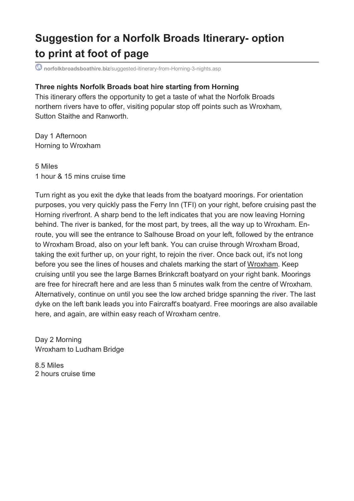## **Suggestion for a Norfolk Broads Itinerary- option to print at foot of page**

**norfolkbroadsboathire.biz**/suggested-itinerary-from-Horning-3-nights.asp

## **Three nights Norfolk Broads boat hire starting from Horning**

This itinerary offers the opportunity to get a taste of what the Norfolk Broads northern rivers have to offer, visiting popular stop off points such as Wroxham, Sutton Staithe and Ranworth.

Day 1 Afternoon Horning to Wroxham

5 Miles 1 hour & 15 mins cruise time

Turn right as you exit the dyke that leads from the boatyard moorings. For orientation purposes, you very quickly pass the Ferry Inn (TFI) on your right, before cruising past the Horning riverfront. A sharp bend to the left indicates that you are now leaving Horning behind. The river is banked, for the most part, by trees, all the way up to Wroxham. Enroute, you will see the entrance to Salhouse Broad on your left, followed by the entrance to Wroxham Broad, also on your left bank. You can cruise through Wroxham Broad, taking the exit further up, on your right, to rejoin the river. Once back out, it's not long before you see the lines of houses and chalets marking the start of Wroxham. Keep cruising until you see the large Barnes Brinkcraft boatyard on your right bank. Moorings are free for hirecraft here and are less than 5 minutes walk from the centre of Wroxham. Alternatively, continue on until you see the low arched bridge spanning the river. The last dyke on the left bank leads you into Faircraft's boatyard. Free moorings are also available here, and again, are within easy reach of Wroxham centre.

Day 2 Morning Wroxham to Ludham Bridge

8.5 Miles 2 hours cruise time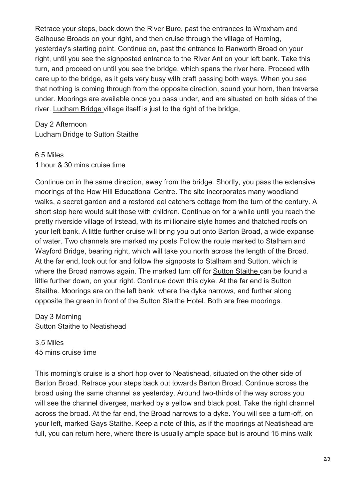Retrace your steps, back down the River Bure, past the entrances to Wroxham and Salhouse Broads on your right, and then cruise through the village of Horning, yesterday's starting point. Continue on, past the entrance to Ranworth Broad on your right, until you see the signposted entrance to the River Ant on your left bank. Take this turn, and proceed on until you see the bridge, which spans the river here. Proceed with care up to the bridge, as it gets very busy with craft passing both ways. When you see that nothing is coming through from the opposite direction, sound your horn, then traverse under. Moorings are available once you pass under, and are situated on both sides of the river. Ludham Bridge village itself is just to the right of the bridge,

Day 2 Afternoon

Ludham Bridge to Sutton Staithe

## 6.5 Miles

1 hour & 30 mins cruise time

Continue on in the same direction, away from the bridge. Shortly, you pass the extensive moorings of the How Hill Educational Centre. The site incorporates many woodland walks, a secret garden and a restored eel catchers cottage from the turn of the century. A short stop here would suit those with children. Continue on for a while until you reach the pretty riverside village of Irstead, with its millionaire style homes and thatched roofs on your left bank. A little further cruise will bring you out onto Barton Broad, a wide expanse of water. Two channels are marked my posts Follow the route marked to Stalham and Wayford Bridge, bearing right, which will take you north across the length of the Broad. At the far end, look out for and follow the signposts to Stalham and Sutton, which is where the Broad narrows again. The marked turn off for Sutton Staithe can be found a little further down, on your right. Continue down this dyke. At the far end is Sutton Staithe. Moorings are on the left bank, where the dyke narrows, and further along opposite the green in front of the Sutton Staithe Hotel. Both are free moorings.

Day 3 Morning Sutton Staithe to Neatishead

3.5 Miles 45 mins cruise time

This morning's cruise is a short hop over to Neatishead, situated on the other side of Barton Broad. Retrace your steps back out towards Barton Broad. Continue across the broad using the same channel as yesterday. Around two-thirds of the way across you will see the channel diverges, marked by a yellow and black post. Take the right channel across the broad. At the far end, the Broad narrows to a dyke. You will see a turn-off, on your left, marked Gays Staithe. Keep a note of this, as if the moorings at Neatishead are full, you can return here, where there is usually ample space but is around 15 mins walk